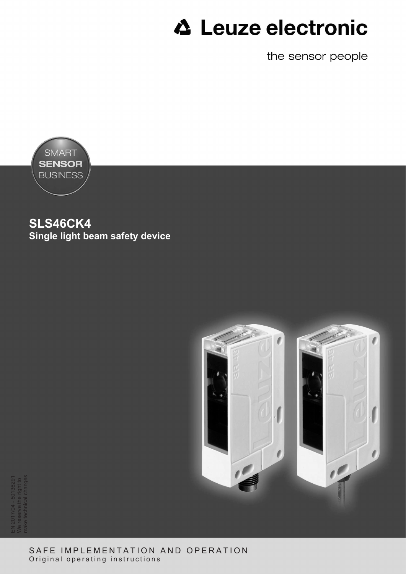the sensor people



**SLS46CK4 Single light beam safety device**



EN 2017/04 - 50136291 We reserve the right to make technical changes

> SAFE IMPLEMENTATION AND OPERATION Original operating instructions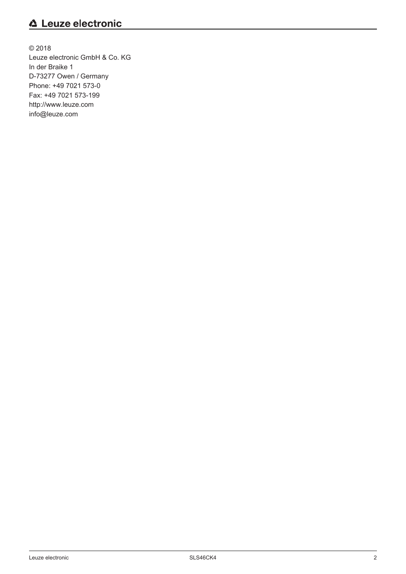© 2018 Leuze electronic GmbH & Co. KG In der Braike 1 D-73277 Owen / Germany Phone: +49 7021 573-0 Fax: +49 7021 573-199 http://www.leuze.com info@leuze.com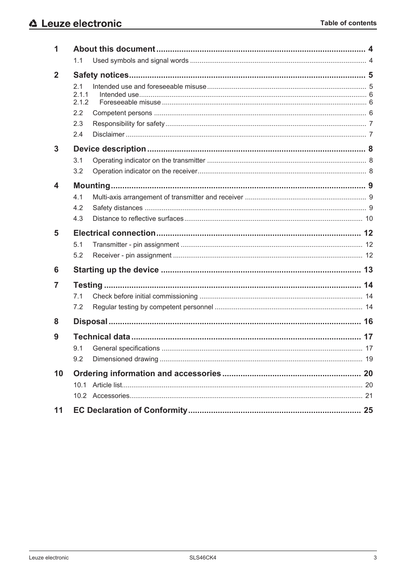| 1            |                       |    |
|--------------|-----------------------|----|
|              | 1.1                   |    |
| $\mathbf{2}$ |                       |    |
|              | 2.1<br>2.1.1<br>2.1.2 |    |
|              | 2.2                   |    |
|              | 2.3                   |    |
|              | 2.4                   |    |
| 3            |                       |    |
|              | 3.1                   |    |
|              | 3.2                   |    |
| 4            |                       |    |
|              | 4.1                   |    |
|              | 4.2                   |    |
|              | 4.3                   |    |
| 5            |                       |    |
|              | 5.1                   |    |
|              | 5.2                   |    |
| 6            |                       |    |
| 7            |                       |    |
|              | 7.1                   |    |
|              | 7.2                   |    |
| 8            |                       |    |
|              |                       | 17 |
| 9            |                       |    |
|              | 9.2                   |    |
| 10           |                       |    |
|              |                       |    |
|              |                       |    |
| 11           |                       |    |
|              |                       |    |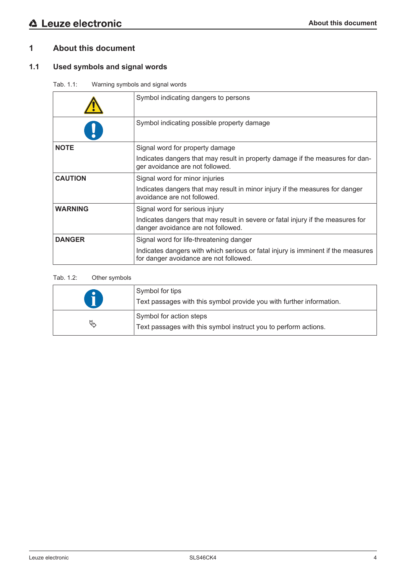## **1 About this document**

## **1.1 Used symbols and signal words**

Tab. 1.1: Warning symbols and signal words

|                | Symbol indicating dangers to persons                                                                                       |
|----------------|----------------------------------------------------------------------------------------------------------------------------|
|                | Symbol indicating possible property damage                                                                                 |
| <b>NOTE</b>    | Signal word for property damage                                                                                            |
|                | Indicates dangers that may result in property damage if the measures for dan-<br>ger avoidance are not followed.           |
| <b>CAUTION</b> | Signal word for minor injuries                                                                                             |
|                | Indicates dangers that may result in minor injury if the measures for danger<br>avoidance are not followed.                |
| <b>WARNING</b> | Signal word for serious injury                                                                                             |
|                | Indicates dangers that may result in severe or fatal injury if the measures for<br>danger avoidance are not followed.      |
| <b>DANGER</b>  | Signal word for life-threatening danger                                                                                    |
|                | Indicates dangers with which serious or fatal injury is imminent if the measures<br>for danger avoidance are not followed. |

## Tab. 1.2: Other symbols

|    | Symbol for tips<br>Text passages with this symbol provide you with further information.    |
|----|--------------------------------------------------------------------------------------------|
| A, | Symbol for action steps<br>Text passages with this symbol instruct you to perform actions. |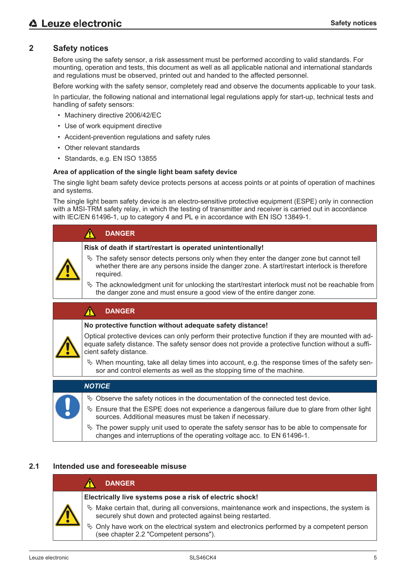## **2 Safety notices**

Before using the safety sensor, a risk assessment must be performed according to valid standards. For mounting, operation and tests, this document as well as all applicable national and international standards and regulations must be observed, printed out and handed to the affected personnel.

Before working with the safety sensor, completely read and observe the documents applicable to your task.

In particular, the following national and international legal regulations apply for start-up, technical tests and handling of safety sensors:

- Machinery directive 2006/42/EC
- Use of work equipment directive
- Accident-prevention regulations and safety rules
- Other relevant standards
- Standards, e.g. EN ISO 13855

#### **Area of application of the single light beam safety device**

The single light beam safety device protects persons at access points or at points of operation of machines and systems.

The single light beam safety device is an electro-sensitive protective equipment (ESPE) only in connection with a MSI-TRM safety relay, in which the testing of transmitter and receiver is carried out in accordance with IEC/EN 61496-1, up to category 4 and PL e in accordance with EN ISO 13849-1.

| <b>DANGER</b>                                                                                                                                                                                            |
|----------------------------------------------------------------------------------------------------------------------------------------------------------------------------------------------------------|
| Risk of death if start/restart is operated unintentionally!                                                                                                                                              |
| $\&$ The safety sensor detects persons only when they enter the danger zone but cannot tell<br>whether there are any persons inside the danger zone. A start/restart interlock is therefore<br>required. |
| $\frac{1}{2}$ The acknowledgment unit for unlocking the start/restart interlock must not be reachable from<br>the danger zone and must ensure a good view of the entire danger zone.                     |
|                                                                                                                                                                                                          |

#### **DANGER**  $\Lambda$

#### **No protective function without adequate safety distance!**

Optical protective devices can only perform their protective function if they are mounted with adequate safety distance. The safety sensor does not provide a protective function without a sufficient safety distance.

 $\&$  When mounting, take all delay times into account, e.g. the response times of the safety sensor and control elements as well as the stopping time of the machine.

| <b>NOTICE</b>                                                                                                                                                           |
|-------------------------------------------------------------------------------------------------------------------------------------------------------------------------|
| $\&$ Observe the safety notices in the documentation of the connected test device.                                                                                      |
| $\&$ Ensure that the ESPE does not experience a dangerous failure due to glare from other light<br>sources. Additional measures must be taken if necessary.             |
| $\&$ The power supply unit used to operate the safety sensor has to be able to compensate for<br>changes and interruptions of the operating voltage acc. to EN 61496-1. |

## **2.1 Intended use and foreseeable misuse**

|  | <b>DANGER</b>                                                                                                                                                |
|--|--------------------------------------------------------------------------------------------------------------------------------------------------------------|
|  | Electrically live systems pose a risk of electric shock!                                                                                                     |
|  | $\&$ Make certain that, during all conversions, maintenance work and inspections, the system is<br>securely shut down and protected against being restarted. |
|  | $\&$ Only have work on the electrical system and electronics performed by a competent person<br>(see chapter 2.2 "Competent persons").                       |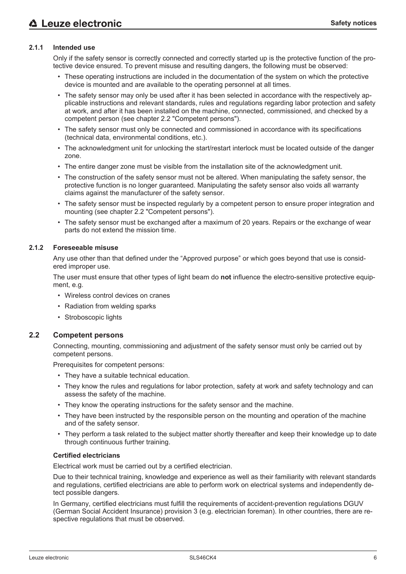#### **2.1.1 Intended use**

Only if the safety sensor is correctly connected and correctly started up is the protective function of the protective device ensured. To prevent misuse and resulting dangers, the following must be observed:

- These operating instructions are included in the documentation of the system on which the protective device is mounted and are available to the operating personnel at all times.
- The safety sensor may only be used after it has been selected in accordance with the respectively applicable instructions and relevant standards, rules and regulations regarding labor protection and safety at work, and after it has been installed on the machine, connected, commissioned, and checked by a competent person (see chapter 2.2 "Competent persons").
- The safety sensor must only be connected and commissioned in accordance with its specifications (technical data, environmental conditions, etc.).
- The acknowledgment unit for unlocking the start/restart interlock must be located outside of the danger zone.
- The entire danger zone must be visible from the installation site of the acknowledgment unit.
- The construction of the safety sensor must not be altered. When manipulating the safety sensor, the protective function is no longer guaranteed. Manipulating the safety sensor also voids all warranty claims against the manufacturer of the safety sensor.
- The safety sensor must be inspected regularly by a competent person to ensure proper integration and mounting (see chapter 2.2 "Competent persons").
- The safety sensor must be exchanged after a maximum of 20 years. Repairs or the exchange of wear parts do not extend the mission time.

#### **2.1.2 Foreseeable misuse**

Any use other than that defined under the "Approved purpose" or which goes beyond that use is considered improper use.

The user must ensure that other types of light beam do **not** influence the electro-sensitive protective equipment, e.g.

- Wireless control devices on cranes
- Radiation from welding sparks
- Stroboscopic lights

#### **2.2 Competent persons**

Connecting, mounting, commissioning and adjustment of the safety sensor must only be carried out by competent persons.

Prerequisites for competent persons:

- They have a suitable technical education.
- They know the rules and regulations for labor protection, safety at work and safety technology and can assess the safety of the machine.
- They know the operating instructions for the safety sensor and the machine.
- They have been instructed by the responsible person on the mounting and operation of the machine and of the safety sensor.
- They perform a task related to the subject matter shortly thereafter and keep their knowledge up to date through continuous further training.

#### **Certified electricians**

Electrical work must be carried out by a certified electrician.

Due to their technical training, knowledge and experience as well as their familiarity with relevant standards and regulations, certified electricians are able to perform work on electrical systems and independently detect possible dangers.

In Germany, certified electricians must fulfill the requirements of accident-prevention regulations DGUV (German Social Accident Insurance) provision 3 (e.g. electrician foreman). In other countries, there are respective regulations that must be observed.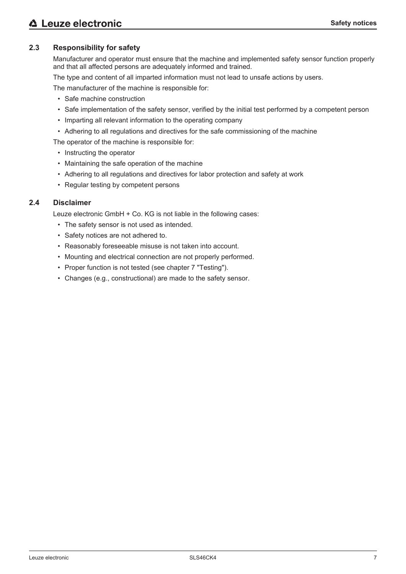## **2.3 Responsibility for safety**

Manufacturer and operator must ensure that the machine and implemented safety sensor function properly and that all affected persons are adequately informed and trained.

The type and content of all imparted information must not lead to unsafe actions by users.

The manufacturer of the machine is responsible for:

- Safe machine construction
- Safe implementation of the safety sensor, verified by the initial test performed by a competent person
- Imparting all relevant information to the operating company
- Adhering to all regulations and directives for the safe commissioning of the machine
- The operator of the machine is responsible for:
	- Instructing the operator
	- Maintaining the safe operation of the machine
	- Adhering to all regulations and directives for labor protection and safety at work
	- Regular testing by competent persons

#### **2.4 Disclaimer**

Leuze electronic GmbH + Co. KG is not liable in the following cases:

- The safety sensor is not used as intended.
- Safety notices are not adhered to.
- Reasonably foreseeable misuse is not taken into account.
- Mounting and electrical connection are not properly performed.
- Proper function is not tested (see chapter 7 "Testing").
- Changes (e.g., constructional) are made to the safety sensor.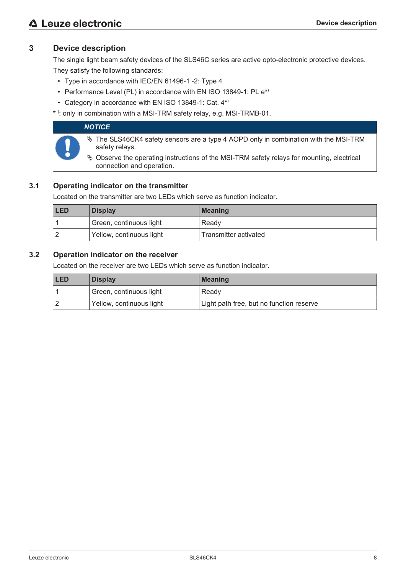## **3 Device description**

The single light beam safety devices of the SLS46C series are active opto-electronic protective devices. They satisfy the following standards:

- Type in accordance with IEC/EN 61496-1 -2: Type 4
- Performance Level (PL) in accordance with EN ISO 13849-1: PL e**\*** )
- Category in accordance with EN ISO 13849-1: Cat. 4**\*** )
- **\*** ) : only in combination with a MSI-TRM safety relay, e.g. MSI-TRMB-01.

| <b>NOTICE</b>                                                                                                              |
|----------------------------------------------------------------------------------------------------------------------------|
| $\%$ The SLS46CK4 safety sensors are a type 4 AOPD only in combination with the MSI-TRM<br>safety relays.                  |
| $\&$ Observe the operating instructions of the MSI-TRM safety relays for mounting, electrical<br>connection and operation. |

## **3.1 Operating indicator on the transmitter**

Located on the transmitter are two LEDs which serve as function indicator.

| <b>LED</b><br><b>Display</b> |                          | <b>Meaning</b>        |
|------------------------------|--------------------------|-----------------------|
|                              | Green, continuous light  | Ready                 |
|                              | Yellow, continuous light | Transmitter activated |

## **3.2 Operation indicator on the receiver**

Located on the receiver are two LEDs which serve as function indicator.

| <b>LED</b><br><b>Display</b> |                          | <b>Meaning</b>                           |  |
|------------------------------|--------------------------|------------------------------------------|--|
|                              | Green, continuous light  | Ready                                    |  |
|                              | Yellow, continuous light | Light path free, but no function reserve |  |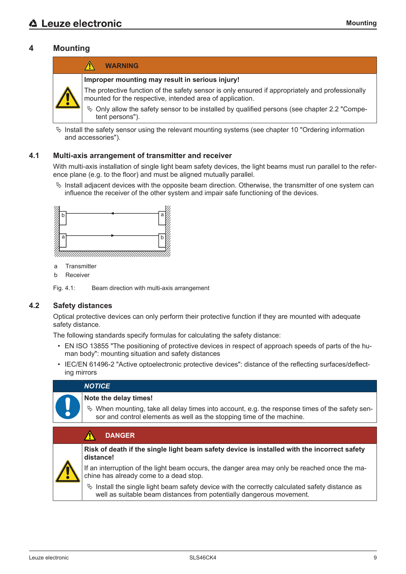## **4 Mounting**



 $\%$  Install the safety sensor using the relevant mounting systems (see chapter 10 "Ordering information and accessories").

#### **4.1 Multi-axis arrangement of transmitter and receiver**

With multi-axis installation of single light beam safety devices, the light beams must run parallel to the reference plane (e.g. to the floor) and must be aligned mutually parallel.

 $\%$  Install adjacent devices with the opposite beam direction. Otherwise, the transmitter of one system can influence the receiver of the other system and impair safe functioning of the devices.



- a Transmitter
- b Receiver

Fig. 4.1: Beam direction with multi-axis arrangement

## **4.2 Safety distances**

Optical protective devices can only perform their protective function if they are mounted with adequate safety distance.

The following standards specify formulas for calculating the safety distance:

- EN ISO 13855 "The positioning of protective devices in respect of approach speeds of parts of the human body": mounting situation and safety distances
- IEC/EN 61496-2 "Active optoelectronic protective devices": distance of the reflecting surfaces/deflecting mirrors

## *NOTICE*

#### **Note the delay times!**

 $\&$  When mounting, take all delay times into account, e.g. the response times of the safety sensor and control elements as well as the stopping time of the machine.

| <b>DANGER</b>                                                                                                                                                             |
|---------------------------------------------------------------------------------------------------------------------------------------------------------------------------|
| Risk of death if the single light beam safety device is installed with the incorrect safety<br>distance!                                                                  |
| If an interruption of the light beam occurs, the danger area may only be reached once the ma-<br>chine has already come to a dead stop.                                   |
| $\%$ Install the single light beam safety device with the correctly calculated safety distance as<br>well as suitable beam distances from potentially dangerous movement. |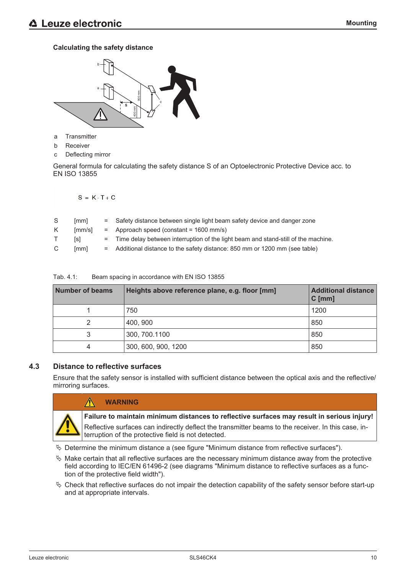## **Calculating the safety distance**



- a Transmitter
- b Receiver
- c Deflecting mirror

General formula for calculating the safety distance S of an Optoelectronic Protective Device acc. to EN ISO 13855

 $S = K \cdot T + C$ 

| S | [mm]   | = Safety distance between single light beam safety device and danger zone           |
|---|--------|-------------------------------------------------------------------------------------|
| K | [mm/s] | $=$ Approach speed (constant = 1600 mm/s)                                           |
|   | [s]    | = Time delay between interruption of the light beam and stand-still of the machine. |
| C | [mm]   | = Additional distance to the safety distance: 850 mm or 1200 mm (see table)         |

| <b>Number of beams</b> | Heights above reference plane, e.g. floor [mm] | <b>Additional distance</b><br>$C$ [mm] |
|------------------------|------------------------------------------------|----------------------------------------|
|                        | 750                                            | 1200                                   |
| 2                      | 400, 900                                       | 850                                    |
| 3                      | 300, 700.1100                                  | 850                                    |
| 4                      | 300, 600, 900, 1200                            | 850                                    |

Tab. 4.1: Beam spacing in accordance with EN ISO 13855

## **4.3 Distance to reflective surfaces**

 $\bigwedge$ 

Ensure that the safety sensor is installed with sufficient distance between the optical axis and the reflective/ mirroring surfaces.



## **WARNING**

**Failure to maintain minimum distances to reflective surfaces may result in serious injury!**

Reflective surfaces can indirectly deflect the transmitter beams to the receiver. In this case, interruption of the protective field is not detected.

 $\&$  Determine the minimum distance a (see figure "Minimum distance from reflective surfaces").

- $\%$  Make certain that all reflective surfaces are the necessary minimum distance away from the protective field according to IEC/EN 61496-2 (see diagrams "Minimum distance to reflective surfaces as a function of the protective field width").
- $\%$  Check that reflective surfaces do not impair the detection capability of the safety sensor before start-up and at appropriate intervals.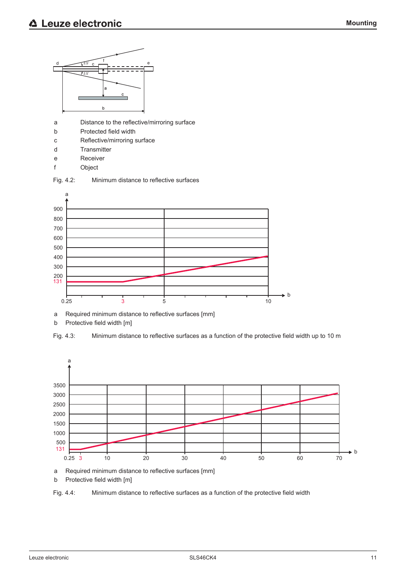

- a Distance to the reflective/mirroring surface
- b Protected field width
- c Reflective/mirroring surface
- d Transmitter
- e Receiver
- f Object





a Required minimum distance to reflective surfaces [mm]

b Protective field width [m]





a Required minimum distance to reflective surfaces [mm]

b Protective field width [m]

Fig. 4.4: Minimum distance to reflective surfaces as a function of the protective field width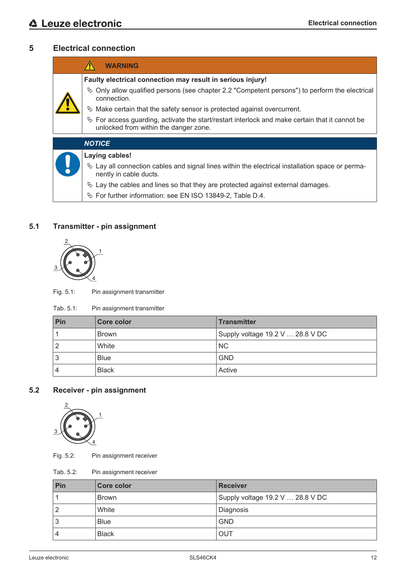## **5 Electrical connection**

| <b>WARNING</b>                                                                                                                             |
|--------------------------------------------------------------------------------------------------------------------------------------------|
| Faulty electrical connection may result in serious injury!                                                                                 |
| $\&$ Only allow qualified persons (see chapter 2.2 "Competent persons") to perform the electrical<br>connection.                           |
| $\%$ Make certain that the safety sensor is protected against overcurrent.                                                                 |
| $\&$ For access guarding, activate the start/restart interlock and make certain that it cannot be<br>unlocked from within the danger zone. |
| <b>NOTICE</b>                                                                                                                              |
| Laying cables!                                                                                                                             |
| $\&$ Lay all connection cables and signal lines within the electrical installation space or perma-<br>nently in cable ducts.               |

- $\%$  Lay the cables and lines so that they are protected against external damages.
- Ä For further information: see EN ISO 13849-2, Table D.4.

## **5.1 Transmitter - pin assignment**



Fig. 5.1: Pin assignment transmitter

| Tab. 5.1:<br>Pin assignment transmitter |  |
|-----------------------------------------|--|
|-----------------------------------------|--|

| Pin | <b>Core color</b> | <b>Transmitter</b>               |
|-----|-------------------|----------------------------------|
|     | <b>Brown</b>      | Supply voltage 19.2 V  28.8 V DC |
|     | White             | <b>NC</b>                        |
| 3   | <b>Blue</b>       | <b>GND</b>                       |
|     | <b>Black</b>      | Active                           |

## **5.2 Receiver - pin assignment**



Fig. 5.2: Pin assignment receiver

Tab. 5.2: Pin assignment receiver

| Pin    | Core color   | <b>Receiver</b>                  |
|--------|--------------|----------------------------------|
|        | <b>Brown</b> | Supply voltage 19.2 V  28.8 V DC |
| ৴      | White        | Diagnosis                        |
| ◠<br>O | <b>Blue</b>  | <b>GND</b>                       |
| 4      | <b>Black</b> | OUT                              |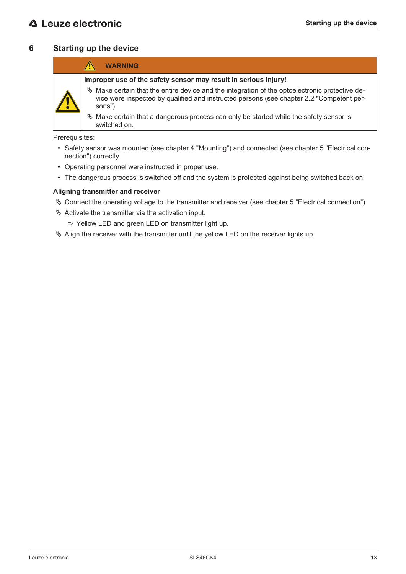## **6 Starting up the device**

|  | <b>WARNING</b>                                                                                                                                                                                           |
|--|----------------------------------------------------------------------------------------------------------------------------------------------------------------------------------------------------------|
|  | Improper use of the safety sensor may result in serious injury!                                                                                                                                          |
|  | $\%$ Make certain that the entire device and the integration of the optoelectronic protective de-<br>vice were inspected by qualified and instructed persons (see chapter 2.2 "Competent per-<br>sons"). |
|  | $\&$ Make certain that a dangerous process can only be started while the safety sensor is<br>switched on.                                                                                                |

Prerequisites:

- Safety sensor was mounted (see chapter 4 "Mounting") and connected (see chapter 5 "Electrical connection") correctly.
- Operating personnel were instructed in proper use.
- The dangerous process is switched off and the system is protected against being switched back on.

#### **Aligning transmitter and receiver**

- $\%$  Connect the operating voltage to the transmitter and receiver (see chapter 5 "Electrical connection").
- $\&$  Activate the transmitter via the activation input.
	- $\Rightarrow$  Yellow LED and green LED on transmitter light up.
- $\%$  Align the receiver with the transmitter until the yellow LED on the receiver lights up.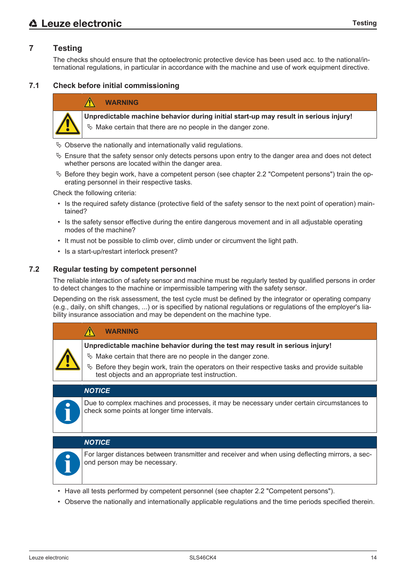## **7 Testing**

The checks should ensure that the optoelectronic protective device has been used acc. to the national/international regulations, in particular in accordance with the machine and use of work equipment directive.

#### **7.1 Check before initial commissioning**

#### **WARNING**

![](_page_13_Picture_5.jpeg)

**Unpredictable machine behavior during initial start-up may result in serious injury!**

- $\%$  Make certain that there are no people in the danger zone.
- $\%$  Observe the nationally and internationally valid regulations.
- $\&$  Ensure that the safety sensor only detects persons upon entry to the danger area and does not detect whether persons are located within the danger area.
- $\%$  Before they begin work, have a competent person (see chapter 2.2 "Competent persons") train the operating personnel in their respective tasks.

Check the following criteria:

- Is the required safety distance (protective field of the safety sensor to the next point of operation) maintained?
- Is the safety sensor effective during the entire dangerous movement and in all adjustable operating modes of the machine?
- It must not be possible to climb over, climb under or circumvent the light path.
- Is a start-up/restart interlock present?

#### **7.2 Regular testing by competent personnel**

The reliable interaction of safety sensor and machine must be regularly tested by qualified persons in order to detect changes to the machine or impermissible tampering with the safety sensor.

Depending on the risk assessment, the test cycle must be defined by the integrator or operating company (e.g., daily, on shift changes, ...) or is specified by national regulations or regulations of the employer's liability insurance association and may be dependent on the machine type.

| <b>WARNING</b>                                                                                                                                       |
|------------------------------------------------------------------------------------------------------------------------------------------------------|
| Unpredictable machine behavior during the test may result in serious injury!                                                                         |
| ↓ Make certain that there are no people in the danger zone.                                                                                          |
| $\%$ Before they begin work, train the operators on their respective tasks and provide suitable<br>test objects and an appropriate test instruction. |
|                                                                                                                                                      |
|                                                                                                                                                      |

#### *NOTICE*

Due to complex machines and processes, it may be necessary under certain circumstances to check some points at longer time intervals.

#### *NOTICE*

![](_page_13_Picture_23.jpeg)

For larger distances between transmitter and receiver and when using deflecting mirrors, a second person may be necessary.

- Have all tests performed by competent personnel (see chapter 2.2 "Competent persons").
- Observe the nationally and internationally applicable regulations and the time periods specified therein.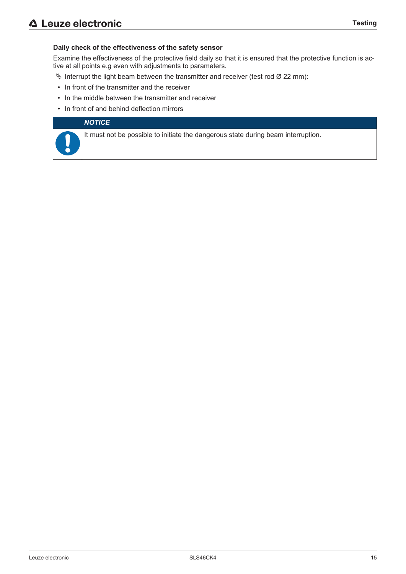#### **Daily check of the effectiveness of the safety sensor**

Examine the effectiveness of the protective field daily so that it is ensured that the protective function is active at all points e.g even with adjustments to parameters.

- $\%$  Interrupt the light beam between the transmitter and receiver (test rod Ø 22 mm):
- In front of the transmitter and the receiver
- In the middle between the transmitter and receiver
- In front of and behind deflection mirrors

#### *NOTICE*

It must not be possible to initiate the dangerous state during beam interruption.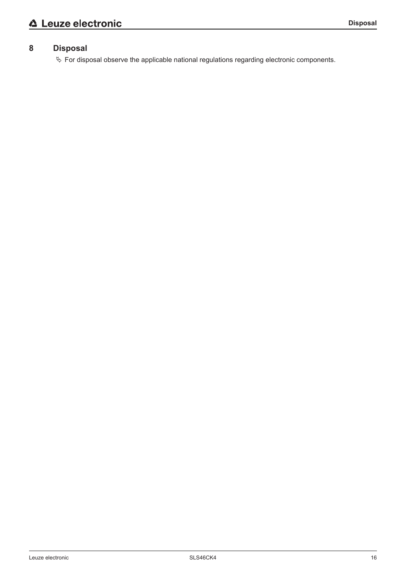## **8 Disposal**

Ä For disposal observe the applicable national regulations regarding electronic components.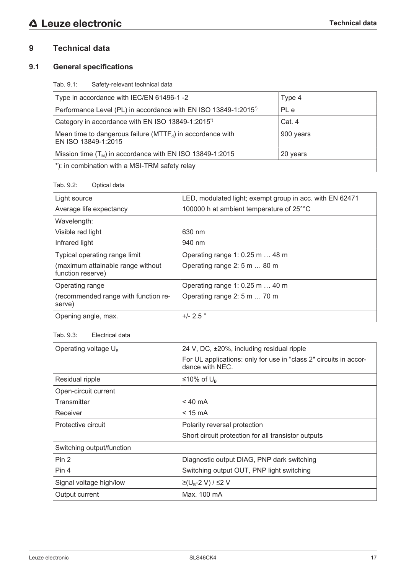## **9 Technical data**

## **9.1 General specifications**

Tab. 9.1: Safety-relevant technical data

| Type in accordance with IEC/EN 61496-1-2                                              | Type 4    |
|---------------------------------------------------------------------------------------|-----------|
| Performance Level (PL) in accordance with EN ISO 13849-1:2015 <sup>*</sup>            | PL e      |
| Category in accordance with EN ISO 13849-1:2015 <sup>*</sup>                          | Cat. 4    |
| Mean time to dangerous failure ( $MTTF_d$ ) in accordance with<br>EN ISO 13849-1:2015 | 900 years |
| Mission time $(T_M)$ in accordance with EN ISO 13849-1:2015                           | 20 years  |
| *): in combination with a MSI-TRM safety relay                                        |           |

## Tab. 9.2: Optical data

| Light source                                           | LED, modulated light; exempt group in acc. with EN 62471 |
|--------------------------------------------------------|----------------------------------------------------------|
| Average life expectancy                                | 100000 h at ambient temperature of 25°°C                 |
| Wavelength:                                            |                                                          |
| Visible red light                                      | 630 nm                                                   |
| Infrared light                                         | 940 nm                                                   |
| Typical operating range limit                          | Operating range 1: $0.25$ m $\dots$ 48 m                 |
| (maximum attainable range without<br>function reserve) | Operating range 2: 5 m  80 m                             |
| Operating range                                        | Operating range 1: $0.25$ m $\dots$ 40 m                 |
| (recommended range with function re-<br>serve)         | Operating range 2: 5 m  70 m                             |
| Opening angle, max.                                    | $+/- 2.5$ $^{\circ}$                                     |

#### Tab. 9.3: Electrical data

| Operating voltage $U_{B}$ | 24 V, DC, ±20%, including residual ripple                                            |
|---------------------------|--------------------------------------------------------------------------------------|
|                           | For UL applications: only for use in "class 2" circuits in accor-<br>dance with NEC. |
| Residual ripple           | ≤10% of $U_{\text{B}}$                                                               |
| Open-circuit current      |                                                                                      |
| Transmitter               | $< 40 \text{ mA}$                                                                    |
| Receiver                  | $< 15 \text{ mA}$                                                                    |
| Protective circuit        | Polarity reversal protection                                                         |
|                           | Short circuit protection for all transistor outputs                                  |
| Switching output/function |                                                                                      |
| Pin 2                     | Diagnostic output DIAG, PNP dark switching                                           |
| Pin 4                     | Switching output OUT, PNP light switching                                            |
| Signal voltage high/low   | ≥(U <sub>B</sub> -2 V) / ≤2 V                                                        |
| Output current            | Max. 100 mA                                                                          |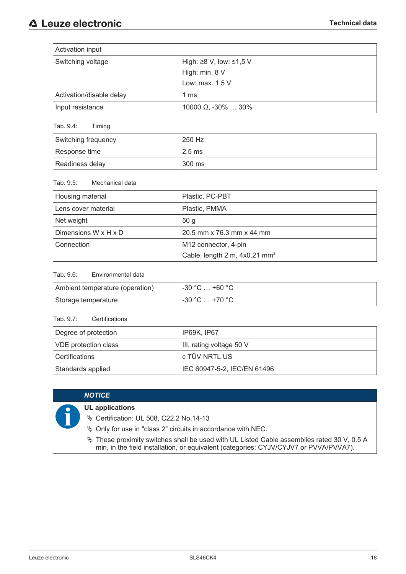| Activation input         |                            |  |
|--------------------------|----------------------------|--|
| Switching voltage        | High: ≥8 V, low: ≤1,5 V    |  |
|                          | High: min. 8 V             |  |
|                          | Low: max. 1.5 V            |  |
| Activation/disable delay | 1 ms                       |  |
| Input resistance         | 10000 $\Omega$ , -30%  30% |  |

## Tab. 9.4: Timing

| Switching frequency | 250 Hz                       |
|---------------------|------------------------------|
| Response time       | $^{\circ}$ 2.5 ms $^{\circ}$ |
| Readiness delay     | 300 ms                       |

#### Tab. 9.5: Mechanical data

| Housing material     | Plastic, PC-PBT                           |
|----------------------|-------------------------------------------|
| Lens cover material  | Plastic, PMMA                             |
| Net weight           | 50 <sub>g</sub>                           |
| Dimensions W x H x D | 20.5 mm x 76.3 mm x 44 mm                 |
| Connection           | M12 connector, 4-pin                      |
|                      | Cable, length 2 m, 4x0.21 mm <sup>2</sup> |

## Tab. 9.6: Environmental data

| Ambient temperature (operation) | ⊣ -30 °C … +60 °C ։    |
|---------------------------------|------------------------|
| Storage temperature             | $1 - 30$ °C $ + 70$ °C |

## Tab. 9.7: Certifications

| Degree of protection<br>' IP69K, IP67 |                             |
|---------------------------------------|-----------------------------|
| <b>VDE</b> protection class           | III, rating voltage 50 V    |
| Certifications                        | l c TÜV NRTL US             |
| Standards applied                     | IEC 60947-5-2, IEC/EN 61496 |

|  | <b>NOTICE</b>                                                                                                                                                                          |
|--|----------------------------------------------------------------------------------------------------------------------------------------------------------------------------------------|
|  | <b>UL</b> applications                                                                                                                                                                 |
|  | <b>V</b> Certification: UL 508, C22.2 No.14-13                                                                                                                                         |
|  | ♦ Only for use in "class 2" circuits in accordance with NEC.                                                                                                                           |
|  | $\%$ These proximity switches shall be used with UL Listed Cable assemblies rated 30 V, 0.5 A<br>min, in the field installation, or equivalent (categories: CYJV/CYJV7 or PVVA/PVVA7). |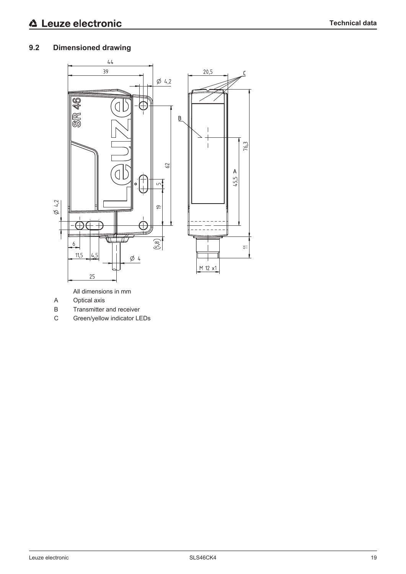## **9.2 Dimensioned drawing**

![](_page_18_Figure_3.jpeg)

All dimensions in mm

- A Optical axis
- B Transmitter and receiver
- C Green/yellow indicator LEDs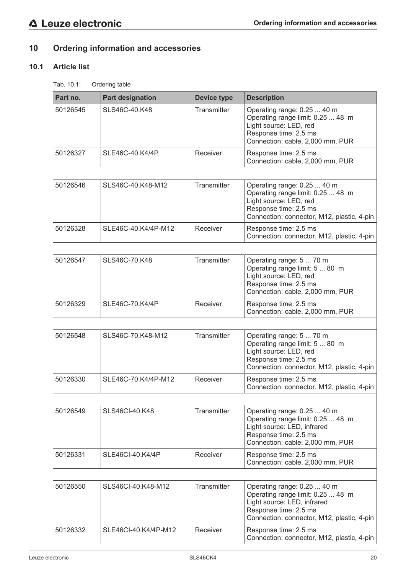## **10 Ordering information and accessories**

## **10.1 Article list**

Tab. 10.1: Ordering table

| Part no. | <b>Part designation</b> | <b>Device type</b> | <b>Description</b>                                                                                                                                                     |
|----------|-------------------------|--------------------|------------------------------------------------------------------------------------------------------------------------------------------------------------------------|
| 50126545 | SLS46C-40.K48           | Transmitter        | Operating range: 0.25  40 m<br>Operating range limit: 0.25  48 m<br>Light source: LED, red<br>Response time: 2.5 ms<br>Connection: cable, 2,000 mm, PUR                |
| 50126327 | SLE46C-40.K4/4P         | Receiver           | Response time: 2.5 ms<br>Connection: cable, 2,000 mm, PUR                                                                                                              |
|          |                         |                    |                                                                                                                                                                        |
| 50126546 | SLS46C-40.K48-M12       | Transmitter        | Operating range: 0.25  40 m<br>Operating range limit: 0.25  48 m<br>Light source: LED, red<br>Response time: 2.5 ms<br>Connection: connector, M12, plastic, 4-pin      |
| 50126328 | SLE46C-40.K4/4P-M12     | Receiver           | Response time: 2.5 ms<br>Connection: connector, M12, plastic, 4-pin                                                                                                    |
|          |                         |                    |                                                                                                                                                                        |
| 50126547 | SLS46C-70.K48           | Transmitter        | Operating range: 5  70 m<br>Operating range limit: 5  80 m<br>Light source: LED, red<br>Response time: 2.5 ms<br>Connection: cable, 2,000 mm, PUR                      |
| 50126329 | SLE46C-70.K4/4P         | Receiver           | Response time: 2.5 ms<br>Connection: cable, 2,000 mm, PUR                                                                                                              |
|          |                         |                    |                                                                                                                                                                        |
| 50126548 | SLS46C-70.K48-M12       | Transmitter        | Operating range: 5  70 m<br>Operating range limit: 5  80 m<br>Light source: LED, red<br>Response time: 2.5 ms<br>Connection: connector, M12, plastic, 4-pin            |
| 50126330 | SLE46C-70.K4/4P-M12     | Receiver           | Response time: 2.5 ms<br>Connection: connector, M12, plastic, 4-pin                                                                                                    |
|          |                         |                    |                                                                                                                                                                        |
| 50126549 | SLS46CI-40.K48          | Transmitter        | Operating range: 0.25  40 m<br>Operating range limit: 0.25  48 m<br>Light source: LED, infrared<br>Response time: 2.5 ms<br>Connection: cable, 2,000 mm, PUR           |
| 50126331 | SLE46CI-40.K4/4P        | Receiver           | Response time: 2.5 ms<br>Connection: cable, 2,000 mm, PUR                                                                                                              |
|          |                         |                    |                                                                                                                                                                        |
| 50126550 | SLS46Cl-40.K48-M12      | Transmitter        | Operating range: 0.25  40 m<br>Operating range limit: 0.25  48 m<br>Light source: LED, infrared<br>Response time: 2.5 ms<br>Connection: connector, M12, plastic, 4-pin |
| 50126332 | SLE46CI-40.K4/4P-M12    | Receiver           | Response time: 2.5 ms<br>Connection: connector, M12, plastic, 4-pin                                                                                                    |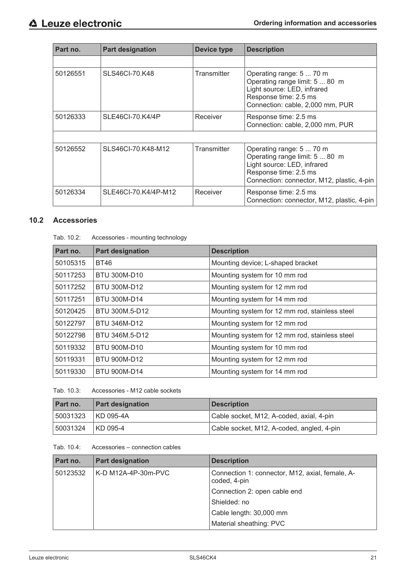| Part no. | <b>Part designation</b> | <b>Device type</b> | <b>Description</b>                                                                                                                                               |
|----------|-------------------------|--------------------|------------------------------------------------------------------------------------------------------------------------------------------------------------------|
|          |                         |                    |                                                                                                                                                                  |
| 50126551 | SLS46CI-70.K48          | <b>Transmitter</b> | Operating range: 5  70 m<br>Operating range limit: 5  80 m<br>Light source: LED, infrared<br>Response time: 2.5 ms<br>Connection: cable, 2,000 mm, PUR           |
| 50126333 | SLE46CI-70.K4/4P        | Receiver           | Response time: 2.5 ms<br>Connection: cable, 2,000 mm, PUR                                                                                                        |
|          |                         |                    |                                                                                                                                                                  |
| 50126552 | SLS46CI-70.K48-M12      | Transmitter        | Operating range: 5  70 m<br>Operating range limit: 5  80 m<br>Light source: LED, infrared<br>Response time: 2.5 ms<br>Connection: connector, M12, plastic, 4-pin |
| 50126334 | SLE46CI-70.K4/4P-M12    | Receiver           | Response time: 2.5 ms<br>Connection: connector, M12, plastic, 4-pin                                                                                              |

## **10.2 Accessories**

| Tab. 10.2:<br>Accessories - mounting technology |
|-------------------------------------------------|
|-------------------------------------------------|

| Part no. | <b>Part designation</b> | <b>Description</b>                             |
|----------|-------------------------|------------------------------------------------|
| 50105315 | <b>BT46</b>             | Mounting device; L-shaped bracket              |
| 50117253 | BTU 300M-D10            | Mounting system for 10 mm rod                  |
| 50117252 | BTU 300M-D12            | Mounting system for 12 mm rod                  |
| 50117251 | <b>BTU 300M-D14</b>     | Mounting system for 14 mm rod                  |
| 50120425 | BTU 300M.5-D12          | Mounting system for 12 mm rod, stainless steel |
| 50122797 | BTU 346M-D12            | Mounting system for 12 mm rod                  |
| 50122798 | BTU 346M.5-D12          | Mounting system for 12 mm rod, stainless steel |
| 50119332 | <b>BTU 900M-D10</b>     | Mounting system for 10 mm rod                  |
| 50119331 | <b>BTU 900M-D12</b>     | Mounting system for 12 mm rod                  |
| 50119330 | <b>BTU 900M-D14</b>     | Mounting system for 14 mm rod                  |

|  | Tab. 10.3: | Accessories - M12 cable sockets |
|--|------------|---------------------------------|
|--|------------|---------------------------------|

| Part no. | <b>Part designation</b> | <b>Description</b>                        |
|----------|-------------------------|-------------------------------------------|
| 50031323 | KD 095-4A               | Cable socket, M12, A-coded, axial, 4-pin  |
| 50031324 | KD 095-4                | Cable socket, M12, A-coded, angled, 4-pin |

Tab. 10.4: Accessories – connection cables

| Part no. | <b>Part designation</b> | <b>Description</b>                                              |
|----------|-------------------------|-----------------------------------------------------------------|
| 50123532 | K-D M12A-4P-30m-PVC     | Connection 1: connector, M12, axial, female, A-<br>coded, 4-pin |
|          |                         | Connection 2: open cable end                                    |
|          |                         | Shielded: no                                                    |
|          |                         | Cable length: 30,000 mm                                         |
|          |                         | Material sheathing: PVC                                         |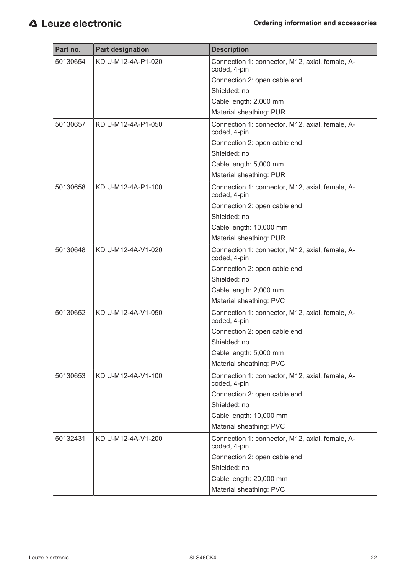| Part no. | <b>Part designation</b> | <b>Description</b>                                              |
|----------|-------------------------|-----------------------------------------------------------------|
| 50130654 | KD U-M12-4A-P1-020      | Connection 1: connector, M12, axial, female, A-<br>coded, 4-pin |
|          |                         | Connection 2: open cable end                                    |
|          |                         | Shielded: no                                                    |
|          |                         | Cable length: 2,000 mm                                          |
|          |                         | Material sheathing: PUR                                         |
| 50130657 | KD U-M12-4A-P1-050      | Connection 1: connector, M12, axial, female, A-<br>coded, 4-pin |
|          |                         | Connection 2: open cable end                                    |
|          |                         | Shielded: no                                                    |
|          |                         | Cable length: 5,000 mm                                          |
|          |                         | Material sheathing: PUR                                         |
| 50130658 | KD U-M12-4A-P1-100      | Connection 1: connector, M12, axial, female, A-<br>coded, 4-pin |
|          |                         | Connection 2: open cable end                                    |
|          |                         | Shielded: no                                                    |
|          |                         | Cable length: 10,000 mm                                         |
|          |                         | Material sheathing: PUR                                         |
| 50130648 | KD U-M12-4A-V1-020      | Connection 1: connector, M12, axial, female, A-<br>coded, 4-pin |
|          |                         | Connection 2: open cable end                                    |
|          |                         | Shielded: no                                                    |
|          |                         | Cable length: 2,000 mm                                          |
|          |                         | Material sheathing: PVC                                         |
| 50130652 | KD U-M12-4A-V1-050      | Connection 1: connector, M12, axial, female, A-<br>coded, 4-pin |
|          |                         | Connection 2: open cable end                                    |
|          |                         | Shielded: no                                                    |
|          |                         | Cable length: 5,000 mm                                          |
|          |                         | Material sheathing: PVC                                         |
| 50130653 | KD U-M12-4A-V1-100      | Connection 1: connector, M12, axial, female, A-<br>coded, 4-pin |
|          |                         | Connection 2: open cable end                                    |
|          |                         | Shielded: no                                                    |
|          |                         | Cable length: 10,000 mm                                         |
|          |                         | Material sheathing: PVC                                         |
| 50132431 | KD U-M12-4A-V1-200      | Connection 1: connector, M12, axial, female, A-<br>coded, 4-pin |
|          |                         | Connection 2: open cable end                                    |
|          |                         | Shielded: no                                                    |
|          |                         | Cable length: 20,000 mm                                         |
|          |                         | Material sheathing: PVC                                         |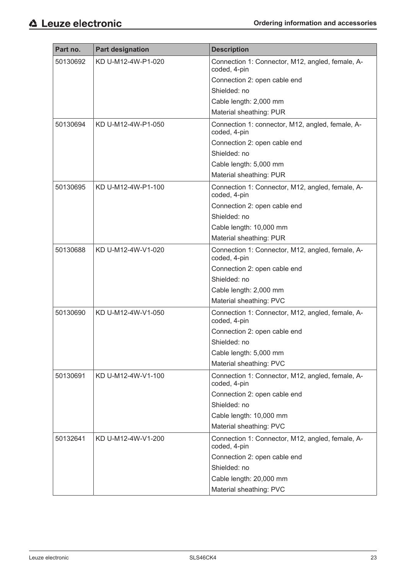| Part no. | <b>Part designation</b> | <b>Description</b>                                               |
|----------|-------------------------|------------------------------------------------------------------|
| 50130692 | KD U-M12-4W-P1-020      | Connection 1: Connector, M12, angled, female, A-                 |
|          |                         | coded, 4-pin                                                     |
|          |                         | Connection 2: open cable end                                     |
|          |                         | Shielded: no                                                     |
|          |                         | Cable length: 2,000 mm                                           |
|          |                         | Material sheathing: PUR                                          |
| 50130694 | KD U-M12-4W-P1-050      | Connection 1: connector, M12, angled, female, A-<br>coded, 4-pin |
|          |                         | Connection 2: open cable end                                     |
|          |                         | Shielded: no                                                     |
|          |                         | Cable length: 5,000 mm                                           |
|          |                         | Material sheathing: PUR                                          |
| 50130695 | KD U-M12-4W-P1-100      | Connection 1: Connector, M12, angled, female, A-<br>coded, 4-pin |
|          |                         | Connection 2: open cable end                                     |
|          |                         | Shielded: no                                                     |
|          |                         | Cable length: 10,000 mm                                          |
|          |                         | Material sheathing: PUR                                          |
| 50130688 | KD U-M12-4W-V1-020      | Connection 1: Connector, M12, angled, female, A-<br>coded, 4-pin |
|          |                         | Connection 2: open cable end                                     |
|          |                         | Shielded: no                                                     |
|          |                         | Cable length: 2,000 mm                                           |
|          |                         | Material sheathing: PVC                                          |
| 50130690 | KD U-M12-4W-V1-050      | Connection 1: Connector, M12, angled, female, A-<br>coded, 4-pin |
|          |                         | Connection 2: open cable end                                     |
|          |                         | Shielded: no                                                     |
|          |                         | Cable length: 5,000 mm                                           |
|          |                         | Material sheathing: PVC                                          |
| 50130691 | KD U-M12-4W-V1-100      | Connection 1: Connector, M12, angled, female, A-<br>coded, 4-pin |
|          |                         | Connection 2: open cable end                                     |
|          |                         | Shielded: no                                                     |
|          |                         | Cable length: 10,000 mm                                          |
|          |                         | Material sheathing: PVC                                          |
| 50132641 | KD U-M12-4W-V1-200      | Connection 1: Connector, M12, angled, female, A-                 |
|          |                         | coded, 4-pin                                                     |
|          |                         | Connection 2: open cable end                                     |
|          |                         | Shielded: no                                                     |
|          |                         | Cable length: 20,000 mm                                          |
|          |                         | Material sheathing: PVC                                          |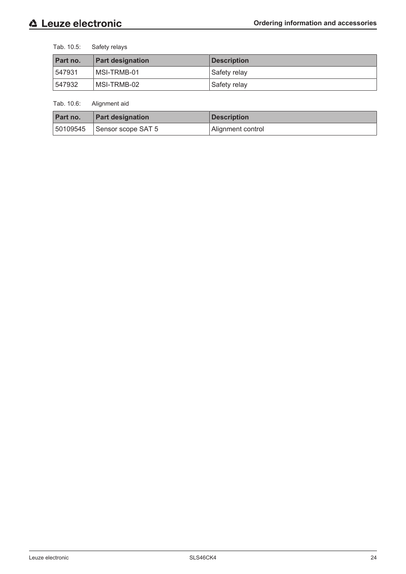Tab. 10.5: Safety relays

| Part no. | <b>Part designation</b> | <b>Description</b> |
|----------|-------------------------|--------------------|
| 547931   | MSI-TRMB-01             | Safety relay       |
| 547932   | MSI-TRMB-02             | Safety relay       |

Tab. 10.6: Alignment aid

| Part no. | <b>Part designation</b>         | <b>Description</b> |
|----------|---------------------------------|--------------------|
|          | $ 50109545 $ Sensor scope SAT 5 | Alignment control  |